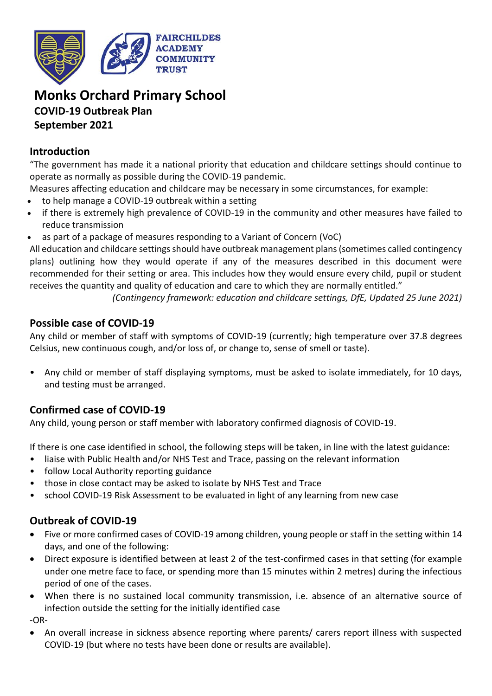

# **Monks Orchard Primary School COVID-19 Outbreak Plan September 2021**

#### **Introduction**

"The government has made it a national priority that education and childcare settings should continue to operate as normally as possible during the COVID-19 pandemic.

- Measures affecting education and childcare may be necessary in some circumstances, for example:
- to help manage a COVID-19 outbreak within a setting
- if there is extremely high prevalence of COVID-19 in the community and other measures have failed to reduce transmission
- as part of a package of measures responding to a Variant of Concern (VoC)

All education and childcare settings should have outbreak management plans (sometimes called contingency plans) outlining how they would operate if any of the measures described in this document were recommended for their setting or area. This includes how they would ensure every child, pupil or student receives the quantity and quality of education and care to which they are normally entitled."

*(Contingency framework: education and childcare settings, DfE, Updated 25 June 2021)*

#### **Possible case of COVID-19**

Any child or member of staff with symptoms of COVID-19 (currently; high temperature over 37.8 degrees Celsius, new continuous cough, and/or loss of, or change to, sense of smell or taste).

• Any child or member of staff displaying symptoms, must be asked to isolate immediately, for 10 days, and testing must be arranged.

## **Confirmed case of COVID-19**

Any child, young person or staff member with laboratory confirmed diagnosis of COVID-19.

If there is one case identified in school, the following steps will be taken, in line with the latest guidance:

- liaise with Public Health and/or NHS Test and Trace, passing on the relevant information
- follow Local Authority reporting guidance
- those in close contact may be asked to isolate by NHS Test and Trace
- school COVID-19 Risk Assessment to be evaluated in light of any learning from new case

## **Outbreak of COVID-19**

- Five or more confirmed cases of COVID-19 among children, young people or staff in the setting within 14 days, and one of the following:
- Direct exposure is identified between at least 2 of the test-confirmed cases in that setting (for example under one metre face to face, or spending more than 15 minutes within 2 metres) during the infectious period of one of the cases.
- When there is no sustained local community transmission, i.e. absence of an alternative source of infection outside the setting for the initially identified case

-OR-

• An overall increase in sickness absence reporting where parents/ carers report illness with suspected COVID-19 (but where no tests have been done or results are available).